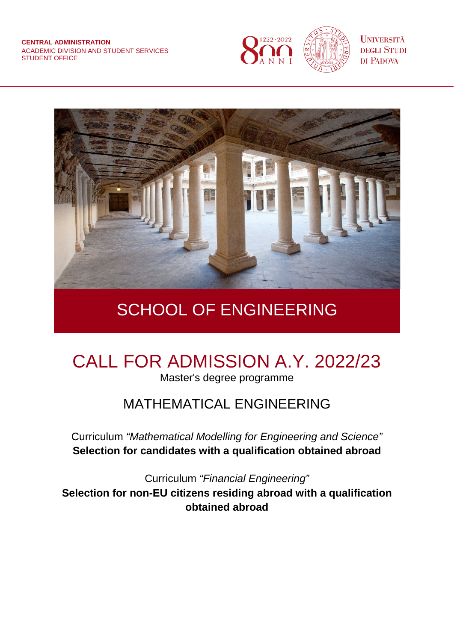

**UNIVERSITÀ DEGLI STUDI** DI PADOVA



## SCHOOL OF ENGINEERING

# CALL FOR ADMISSION A.Y. 2022/23

Master's degree programme

### MATHEMATICAL ENGINEERING

Curriculum *"Mathematical Modelling for Engineering and Science"* **Selection for candidates with a qualification obtained abroad**

Curriculum *"Financial Engineering"* **Selection for non-EU citizens residing abroad with a qualification obtained abroad**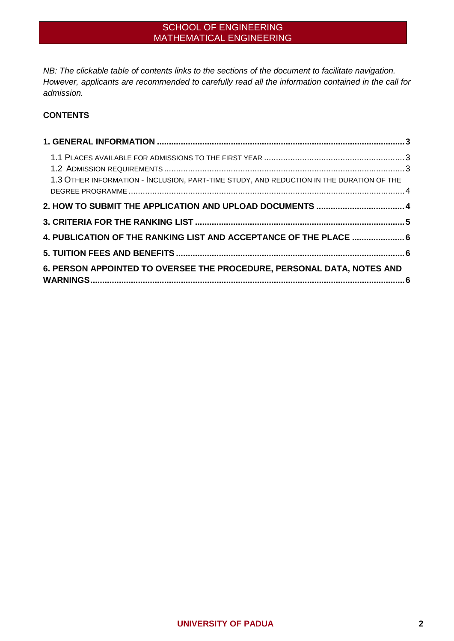*NB: The clickable table of contents links to the sections of the document to facilitate navigation. However, applicants are recommended to carefully read all the information contained in the call for admission.* 

#### **CONTENTS**

| 1.3 OTHER INFORMATION - INCLUSION, PART-TIME STUDY, AND REDUCTION IN THE DURATION OF THE |
|------------------------------------------------------------------------------------------|
|                                                                                          |
|                                                                                          |
|                                                                                          |
| 4. PUBLICATION OF THE RANKING LIST AND ACCEPTANCE OF THE PLACE  6                        |
|                                                                                          |
|                                                                                          |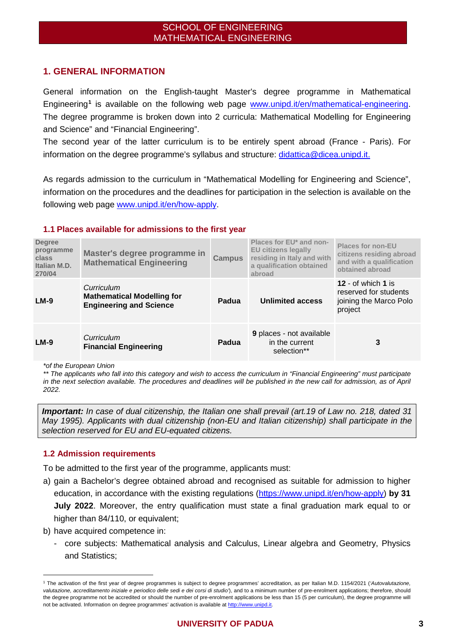#### <span id="page-2-0"></span>**1. GENERAL INFORMATION**

General information on the English-taught Master's degree programme in Mathematical Engineering**[1](#page-2-3)** is available on the following web page [www.unipd.it/en/mathematical-engineering.](http://www.unipd.it/en/mathematical-engineering) The degree programme is broken down into 2 curricula: Mathematical Modelling for Engineering and Science" and "Financial Engineering".

The second year of the latter curriculum is to be entirely spent abroad (France - Paris). For information on the degree programme's syllabus and structure: [didattica@dicea.unipd.it.](mailto:didattica@dicea.unipd.it)

As regards admission to the curriculum in "Mathematical Modelling for Engineering and Science", information on the procedures and the deadlines for participation in the selection is available on the following web page [www.unipd.it/en/how-apply.](http://www.unipd.it/en/how-apply)

#### <span id="page-2-1"></span>**1.1 Places available for admissions to the first year**

| <b>Degree</b><br>programme<br>class<br>Italian M.D.<br>270/04 | Master's degree programme in<br><b>Mathematical Engineering</b>                   | <b>Campus</b> | Places for EU* and non-<br><b>EU citizens legally</b><br>residing in Italy and with<br>a qualification obtained<br>abroad | <b>Places for non-EU</b><br>citizens residing abroad<br>and with a qualification<br>obtained abroad |
|---------------------------------------------------------------|-----------------------------------------------------------------------------------|---------------|---------------------------------------------------------------------------------------------------------------------------|-----------------------------------------------------------------------------------------------------|
| $LM-9$                                                        | Curriculum<br><b>Mathematical Modelling for</b><br><b>Engineering and Science</b> | Padua         | <b>Unlimited access</b>                                                                                                   | 12 - of which 1 is<br>reserved for students<br>joining the Marco Polo<br>project                    |
| $LM-9$                                                        | Curriculum<br><b>Financial Engineering</b>                                        | Padua         | <b>9</b> places - not available<br>in the current<br>selection**                                                          | 3                                                                                                   |

*\*of the European Union*

*\*\* The applicants who fall into this category and wish to access the curriculum in "Financial Engineering" must participate*  in the next selection available. The procedures and deadlines will be published in the new call for admission, as of April *2022.*

*Important: In case of dual citizenship, the Italian one shall prevail (art.19 of Law no. 218, dated 31 May 1995). Applicants with dual citizenship (non-EU and Italian citizenship) shall participate in the selection reserved for EU and EU-equated citizens.*

#### <span id="page-2-2"></span>**1.2 Admission requirements**

To be admitted to the first year of the programme, applicants must:

- a) gain a Bachelor's degree obtained abroad and recognised as suitable for admission to higher education, in accordance with the existing regulations [\(https://www.unipd.it/en/how-apply\)](https://www.unipd.it/en/how-apply) **by 31 July 2022**. Moreover, the entry qualification must state a final graduation mark equal to or higher than 84/110, or equivalent;
- b) have acquired competence in:
	- core subjects: Mathematical analysis and Calculus, Linear algebra and Geometry, Physics and Statistics;

<span id="page-2-3"></span> <sup>1</sup> The activation of the first year of degree programmes is subject to degree programmes' accreditation, as per Italian M.D. 1154/2021 (*'Autovalutazione, valutazione, accreditamento iniziale e periodico delle sedi e dei corsi di studio'*), and to a minimum number of pre-enrolment applications; therefore, should the degree programme not be accredited or should the number of pre-enrolment applications be less than 15 (5 per curriculum), the degree programme will not be activated. Information on degree programmes' activation is available a[t http://www.unipd.it.](http://www.unipd.it/)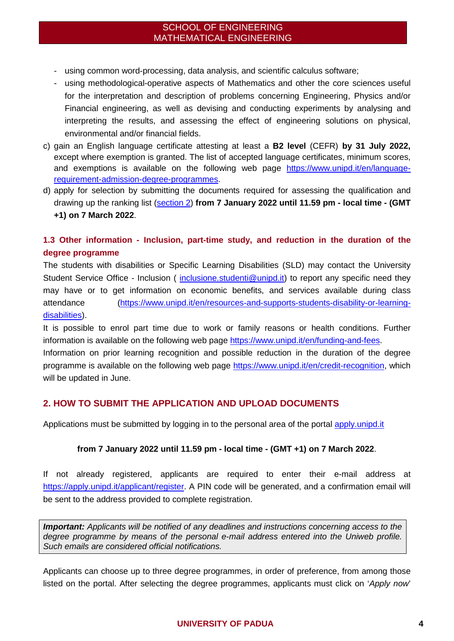- using common word-processing, data analysis, and scientific calculus software;
- using methodological-operative aspects of Mathematics and other the core sciences useful for the interpretation and description of problems concerning Engineering, Physics and/or Financial engineering, as well as devising and conducting experiments by analysing and interpreting the results, and assessing the effect of engineering solutions on physical, environmental and/or financial fields.
- c) gain an English language certificate attesting at least a **B2 level** (CEFR) **by 31 July 2022,** except where exemption is granted. The list of accepted language certificates, minimum scores, and exemptions is available on the following web page [https://www.unipd.it/en/language](https://www.unipd.it/en/language-requirement-admission-degree-programmes)[requirement-admission-degree-programmes.](https://www.unipd.it/en/language-requirement-admission-degree-programmes)
- d) apply for selection by submitting the documents required for assessing the qualification and drawing up the ranking list [\(section 2\)](#page-3-1) **from 7 January 2022 until 11.59 pm - local time - (GMT +1) on 7 March 2022**.

#### <span id="page-3-0"></span>**1.3 Other information - Inclusion, part-time study, and reduction in the duration of the degree programme**

The students with disabilities or Specific Learning Disabilities (SLD) may contact the University Student Service Office - Inclusion ( [inclusione.studenti@unipd.it\)](mailto:inclusione.studenti@unipd.it) to report any specific need they may have or to get information on economic benefits, and services available during class attendance [\(https://www.unipd.it/en/resources-and-supports-students-disability-or-learning](https://www.unipd.it/en/resources-and-supports-students-disability-or-learning-disabilities)[disabilities\)](https://www.unipd.it/en/resources-and-supports-students-disability-or-learning-disabilities).

It is possible to enrol part time due to work or family reasons or health conditions. Further information is available on the following web page [https://www.unipd.it/en/funding-and-fees.](https://www.unipd.it/en/funding-and-fees)

Information on prior learning recognition and possible reduction in the duration of the degree programme is available on the following web page [https://www.unipd.it/en/credit-recognition,](https://www.unipd.it/en/credit-recognition) which will be updated in June.

#### <span id="page-3-1"></span>**2. HOW TO SUBMIT THE APPLICATION AND UPLOAD DOCUMENTS**

Applications must be submitted by logging in to the personal area of the portal [apply.unipd.it](file://tsclient/F/Segr.Immatricolazioni/IMMA%2022-23/BANDI/ANTICIPATE/Psicologia/Magistrali/Cognitive%20neuroscience%20and%20clinical%20neuropsychology/apply.unipd.it) 

#### **from 7 January 2022 until 11.59 pm - local time - (GMT +1) on 7 March 2022**.

If not already registered, applicants are required to enter their e-mail address at [https://apply.unipd.it/applicant/register.](https://apply.unipd.it/applicant/register) A PIN code will be generated, and a confirmation email will be sent to the address provided to complete registration.

*Important: Applicants will be notified of any deadlines and instructions concerning access to the degree programme by means of the personal e-mail address entered into the Uniweb profile. Such emails are considered official notifications.*

Applicants can choose up to three degree programmes, in order of preference, from among those listed on the portal. After selecting the degree programmes, applicants must click on '*Apply now*'

#### **UNIVERSITY OF PADUA 4**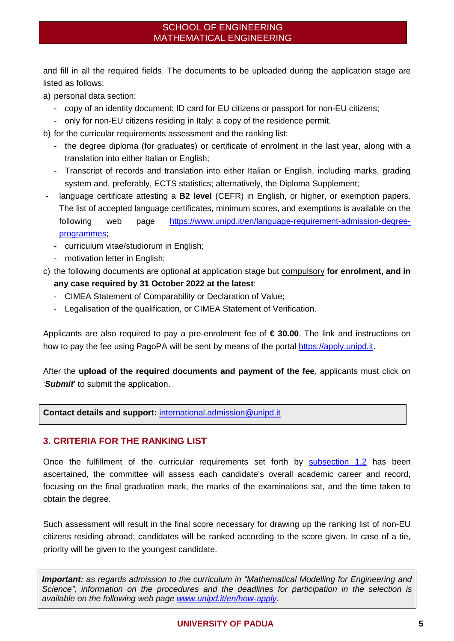and fill in all the required fields. The documents to be uploaded during the application stage are listed as follows:

a) personal data section:

- copy of an identity document: ID card for EU citizens or passport for non-EU citizens;
- only for non-EU citizens residing in Italy: a copy of the residence permit.

b) for the curricular requirements assessment and the ranking list:

- the degree diploma (for graduates) or certificate of enrolment in the last year, along with a translation into either Italian or English;
- Transcript of records and translation into either Italian or English, including marks, grading system and, preferably, ECTS statistics; alternatively, the Diploma Supplement;
- language certificate attesting a **B2 level** (CEFR) in English, or higher, or exemption papers. The list of accepted language certificates, minimum scores, and exemptions is available on the following web page [https://www.unipd.it/en/language-requirement-admission-degree](https://www.unipd.it/en/language-requirement-admission-degree-programmes)[programmes;](https://www.unipd.it/en/language-requirement-admission-degree-programmes)
	- curriculum vitae/studiorum in English;
	- motivation letter in English;
- c) the following documents are optional at application stage but compulsory **for enrolment, and in any case required by 31 October 2022 at the latest**:
	- CIMEA Statement of Comparability or Declaration of Value;
	- Legalisation of the qualification, or CIMEA Statement of Verification.

Applicants are also required to pay a pre-enrolment fee of **€ 30.00**. The link and instructions on how to pay the fee using PagoPA will be sent by means of the portal [https://apply.unipd.it.](https://apply.unipd.it/)

After the **upload of the required documents and payment of the fee**, applicants must click on '*Submit*' to submit the application.

**Contact details and support:** [international.admission@unipd.it](mailto:international.admission@unipd.it) 

#### <span id="page-4-0"></span>**3. CRITERIA FOR THE RANKING LIST**

Once the fulfillment of the curricular requirements set forth by [subsection 1.2](#page-2-2) has been ascertained, the committee will assess each candidate's overall academic career and record, focusing on the final graduation mark, the marks of the examinations sat, and the time taken to obtain the degree.

Such assessment will result in the final score necessary for drawing up the ranking list of non-EU citizens residing abroad; candidates will be ranked according to the score given. In case of a tie, priority will be given to the youngest candidate.

*Important: as regards admission to the curriculum in "Mathematical Modelling for Engineering and Science", information on the procedures and the deadlines for participation in the selection is available on the following web page [www.unipd.it/en/how-apply.](http://www.unipd.it/en/how-apply)*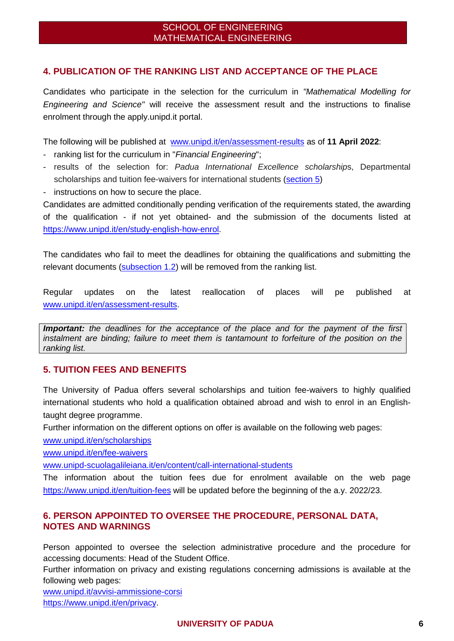#### <span id="page-5-0"></span>**4. PUBLICATION OF THE RANKING LIST AND ACCEPTANCE OF THE PLACE**

Candidates who participate in the selection for the curriculum in *"Mathematical Modelling for Engineering and Science"* will receive the assessment result and the instructions to finalise enrolment through the apply.unipd.it portal.

The following will be published at [www.unipd.it/en/assessment-results](http://www.unipd.it/en/assessment-results) as of **11 April 2022**:

- ranking list for the curriculum in "*Financial Engineering*";
- results of the selection for: *Padua International Excellence scholarship*s, Departmental scholarships and tuition fee-waivers for international students [\(section 5\)](#page-5-1)
- instructions on how to secure the place.

Candidates are admitted conditionally pending verification of the requirements stated, the awarding of the qualification - if not yet obtained- and the submission of the documents listed at [https://www.unipd.it/en/study-english-how-enrol.](https://www.unipd.it/en/study-english-how-enrol)

The candidates who fail to meet the deadlines for obtaining the qualifications and submitting the relevant documents (subsection [1.2\)](#page-2-2) will be removed from the ranking list.

Regular updates on the latest reallocation of places will pe published at [www.unipd.it/en/assessment-results.](http://www.unipd.it/en/assessment-results)

*Important: the deadlines for the acceptance of the place and for the payment of the first instalment are binding; failure to meet them is tantamount to forfeiture of the position on the ranking list.* 

#### <span id="page-5-1"></span>**5. TUITION FEES AND BENEFITS**

The University of Padua offers several scholarships and tuition fee-waivers to highly qualified international students who hold a qualification obtained abroad and wish to enrol in an Englishtaught degree programme.

Further information on the different options on offer is available on the following web pages:

[www.unipd.it/en/scholarships](http://www.unipd.it/en/scholarships)

[www.unipd.it/en/fee-waivers](http://www.unipd.it/en/fee-waivers)

[www.unipd-scuolagalileiana.it/en/content/call-international-students](http://www.unipd-scuolagalileiana.it/en/content/call-international-students)

<span id="page-5-2"></span>The information about the tuition fees due for enrolment available on the web page <https://www.unipd.it/en/tuition-fees> will be updated before the beginning of the a.y. 2022/23.

#### **6. PERSON APPOINTED TO OVERSEE THE PROCEDURE, PERSONAL DATA, NOTES AND WARNINGS**

Person appointed to oversee the selection administrative procedure and the procedure for accessing documents: Head of the Student Office.

Further information on privacy and existing regulations concerning admissions is available at the following web pages:

[www.unipd.it/avvisi-ammissione-corsi](http://www.unipd.it/avvisi-ammissione-corsi) [https://www.unipd.it/en/privacy.](https://www.unipd.it/en/privacy)